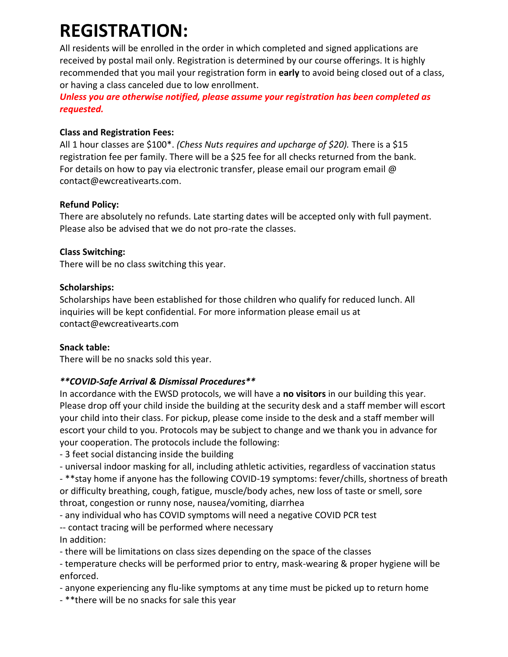# **REGISTRATION:**

All residents will be enrolled in the order in which completed and signed applications are received by postal mail only. Registration is determined by our course offerings. It is highly recommended that you mail your registration form in **early** to avoid being closed out of a class, or having a class canceled due to low enrollment.

*Unless you are otherwise notified, please assume your registration has been completed as requested.*

#### **Class and Registration Fees:**

All 1 hour classes are \$100\*. *(Chess Nuts requires and upcharge of \$20).* There is a \$15 registration fee per family. There will be a \$25 fee for all checks returned from the bank. For details on how to pay via electronic transfer, please email our program email  $\omega$ contact@ewcreativearts.com.

## **Refund Policy:**

There are absolutely no refunds. Late starting dates will be accepted only with full payment. Please also be advised that we do not pro-rate the classes.

## **Class Switching:**

There will be no class switching this year.

## **Scholarships:**

Scholarships have been established for those children who qualify for reduced lunch. All inquiries will be kept confidential. For more information please email us at contact@ewcreativearts.com

#### **Snack table:**

There will be no snacks sold this year.

## *\*\*COVID-Safe Arrival & Dismissal Procedures\*\**

In accordance with the EWSD protocols, we will have a **no visitors** in our building this year. Please drop off your child inside the building at the security desk and a staff member will escort your child into their class. For pickup, please come inside to the desk and a staff member will escort your child to you. Protocols may be subject to change and we thank you in advance for your cooperation. The protocols include the following:

- 3 feet social distancing inside the building

- universal indoor masking for all, including athletic activities, regardless of vaccination status - \*\*stay home if anyone has the following COVID-19 symptoms: fever/chills, shortness of breath or difficulty breathing, cough, fatigue, muscle/body aches, new loss of taste or smell, sore throat, congestion or runny nose, nausea/vomiting, diarrhea

- any individual who has COVID symptoms will need a negative COVID PCR test

-- contact tracing will be performed where necessary

In addition:

- there will be limitations on class sizes depending on the space of the classes

- temperature checks will be performed prior to entry, mask-wearing & proper hygiene will be enforced.

- anyone experiencing any flu-like symptoms at any time must be picked up to return home

- \*\*there will be no snacks for sale this year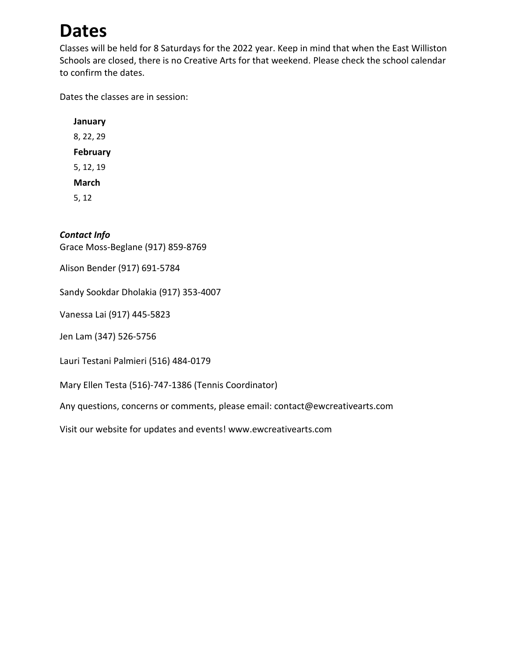# **Dates**

Classes will be held for 8 Saturdays for the 2022 year. Keep in mind that when the East Williston Schools are closed, there is no Creative Arts for that weekend. Please check the school calendar to confirm the dates.

Dates the classes are in session:

**January** 8, 22, 29 **February** 5, 12, 19 **March** 5, 12

#### *Contact Info*

Grace Moss-Beglane (917) 859-8769

Alison Bender (917) 691-5784

Sandy Sookdar Dholakia (917) 353-4007

Vanessa Lai (917) 445-5823

Jen Lam (347) 526-5756

Lauri Testani Palmieri (516) 484-0179

Mary Ellen Testa (516)-747-1386 (Tennis Coordinator)

Any questions, concerns or comments, please email: contact@ewcreativearts.com

Visit our website for updates and events! www.ewcreativearts.com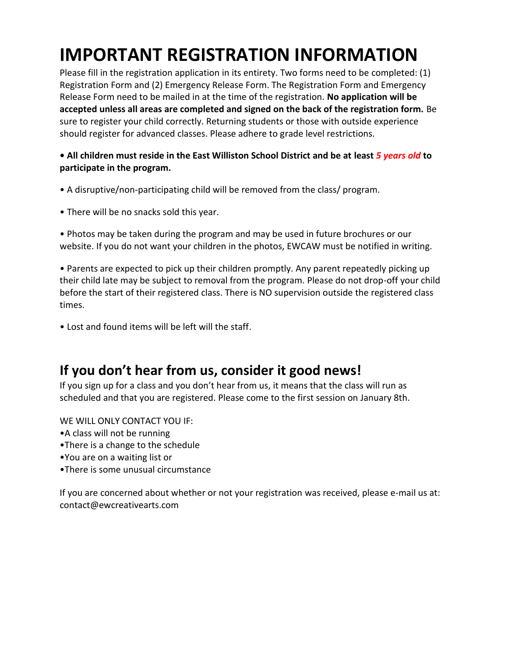# **IMPORTANT REGISTRATION INFORMATION**

Please fill in the registration application in its entirety. Two forms need to be completed: (1) Registration Form and (2) Emergency Release Form. The Registration Form and Emergency Release Form need to be mailed in at the time of the registration. **No application will be accepted unless all areas are completed and signed on the back of the registration form.** Be sure to register your child correctly. Returning students or those with outside experience should register for advanced classes. Please adhere to grade level restrictions.

## **• All children must reside in the East Williston School District and be at least** *5 years old* **to participate in the program.**

- A disruptive/non-participating child will be removed from the class/ program.
- There will be no snacks sold this year.

• Photos may be taken during the program and may be used in future brochures or our website. If you do not want your children in the photos, EWCAW must be notified in writing.

• Parents are expected to pick up their children promptly. Any parent repeatedly picking up their child late may be subject to removal from the program. Please do not drop-off your child before the start of their registered class. There is NO supervision outside the registered class times.

• Lost and found items will be left will the staff.

# **If you don't hear from us, consider it good news!**

If you sign up for a class and you don't hear from us, it means that the class will run as scheduled and that you are registered. Please come to the first session on January 8th.

WE WILL ONLY CONTACT YOU IF:

- •A class will not be running
- •There is a change to the schedule
- •You are on a waiting list or
- •There is some unusual circumstance

If you are concerned about whether or not your registration was received, please e-mail us at: contact@ewcreativearts.com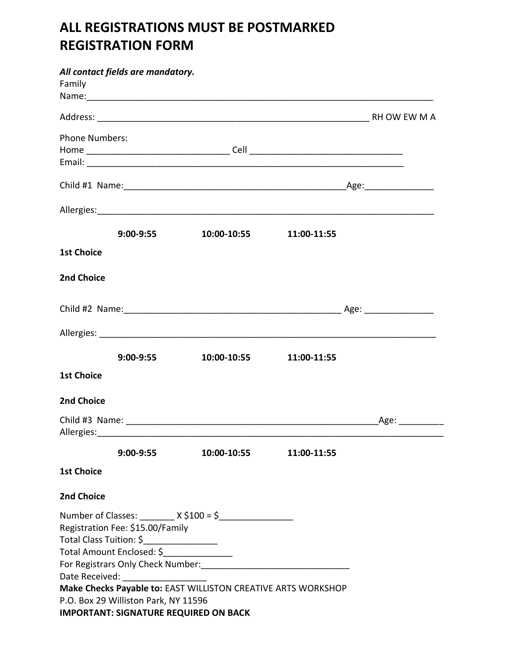# **ALL REGISTRATIONS MUST BE POSTMARKED REGISTRATION FORM**

|                       | All contact fields are mandatory.                                                                                                                                                      |                                                               |             |                |
|-----------------------|----------------------------------------------------------------------------------------------------------------------------------------------------------------------------------------|---------------------------------------------------------------|-------------|----------------|
| Family                |                                                                                                                                                                                        |                                                               |             |                |
|                       |                                                                                                                                                                                        |                                                               |             |                |
| <b>Phone Numbers:</b> |                                                                                                                                                                                        |                                                               |             |                |
|                       |                                                                                                                                                                                        |                                                               |             |                |
|                       |                                                                                                                                                                                        |                                                               |             |                |
|                       |                                                                                                                                                                                        |                                                               |             |                |
|                       |                                                                                                                                                                                        |                                                               |             |                |
|                       | $9:00 - 9:55$                                                                                                                                                                          | 10:00-10:55                                                   | 11:00-11:55 |                |
| <b>1st Choice</b>     |                                                                                                                                                                                        |                                                               |             |                |
| 2nd Choice            |                                                                                                                                                                                        |                                                               |             |                |
|                       |                                                                                                                                                                                        |                                                               |             |                |
|                       |                                                                                                                                                                                        |                                                               |             |                |
|                       | $9:00 - 9:55$                                                                                                                                                                          | 10:00-10:55                                                   | 11:00-11:55 |                |
| <b>1st Choice</b>     |                                                                                                                                                                                        |                                                               |             |                |
| <b>2nd Choice</b>     |                                                                                                                                                                                        |                                                               |             |                |
|                       |                                                                                                                                                                                        |                                                               |             | _Age: ________ |
|                       | $9:00 - 9:55$                                                                                                                                                                          | 10:00-10:55    11:00-11:55                                    |             |                |
| <b>1st Choice</b>     |                                                                                                                                                                                        |                                                               |             |                |
| <b>2nd Choice</b>     |                                                                                                                                                                                        |                                                               |             |                |
|                       | Registration Fee: \$15.00/Family<br>Total Class Tuition: \$<br>Total Amount Enclosed: \$________________<br>Date Received: ___________________<br>P.O. Box 29 Williston Park, NY 11596 | Make Checks Payable to: EAST WILLISTON CREATIVE ARTS WORKSHOP |             |                |
|                       | <b>IMPORTANT: SIGNATURE REQUIRED ON BACK</b>                                                                                                                                           |                                                               |             |                |